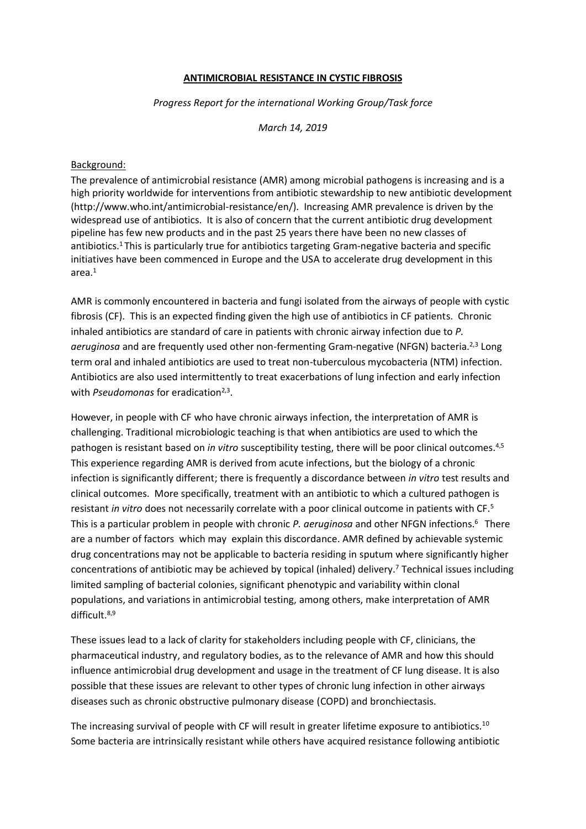### **ANTIMICROBIAL RESISTANCE IN CYSTIC FIBROSIS**

*Progress Report for the international Working Group/Task force*

*March 14, 2019*

#### Background:

The prevalence of antimicrobial resistance (AMR) among microbial pathogens is increasing and is a high priority worldwide for interventions from antibiotic stewardship to new antibiotic development (http://www.who.int/antimicrobial-resistance/en/). Increasing AMR prevalence is driven by the widespread use of antibiotics. It is also of concern that the current antibiotic drug development pipeline has few new products and in the past 25 years there have been no new classes of antibiotics. <sup>1</sup> This is particularly true for antibiotics targeting Gram-negative bacteria and specific initiatives have been commenced in Europe and the USA to accelerate drug development in this area.<sup>1</sup>

AMR is commonly encountered in bacteria and fungi isolated from the airways of people with cystic fibrosis (CF). This is an expected finding given the high use of antibiotics in CF patients. Chronic inhaled antibiotics are standard of care in patients with chronic airway infection due to *P.* aeruginosa and are frequently used other non-fermenting Gram-negative (NFGN) bacteria.<sup>2,3</sup> Long term oral and inhaled antibiotics are used to treat non-tuberculous mycobacteria (NTM) infection. Antibiotics are also used intermittently to treat exacerbations of lung infection and early infection with *Pseudomonas* for eradication<sup>2,3</sup>.

However, in people with CF who have chronic airways infection, the interpretation of AMR is challenging. Traditional microbiologic teaching is that when antibiotics are used to which the pathogen is resistant based on *in vitro* susceptibility testing, there will be poor clinical outcomes.<sup>4,5</sup> This experience regarding AMR is derived from acute infections, but the biology of a chronic infection is significantly different; there is frequently a discordance between *in vitro* test results and clinical outcomes. More specifically, treatment with an antibiotic to which a cultured pathogen is resistant *in vitro* does not necessarily correlate with a poor clinical outcome in patients with CF. 5 This is a particular problem in people with chronic *P. geruginosa* and other NFGN infections.<sup>6</sup> There are a number of factors which may explain this discordance. AMR defined by achievable systemic drug concentrations may not be applicable to bacteria residing in sputum where significantly higher concentrations of antibiotic may be achieved by topical (inhaled) delivery. <sup>7</sup> Technical issues including limited sampling of bacterial colonies, significant phenotypic and variability within clonal populations, and variations in antimicrobial testing, among others, make interpretation of AMR difficult.8,9

These issues lead to a lack of clarity for stakeholders including people with CF, clinicians, the pharmaceutical industry, and regulatory bodies, as to the relevance of AMR and how this should influence antimicrobial drug development and usage in the treatment of CF lung disease. It is also possible that these issues are relevant to other types of chronic lung infection in other airways diseases such as chronic obstructive pulmonary disease (COPD) and bronchiectasis.

The increasing survival of people with CF will result in greater lifetime exposure to antibiotics.<sup>10</sup> Some bacteria are intrinsically resistant while others have acquired resistance following antibiotic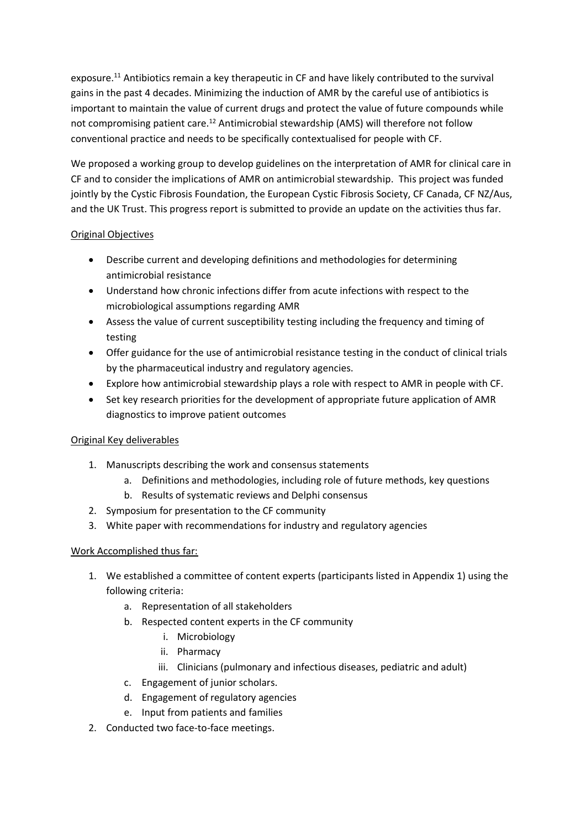exposure.<sup>11</sup> Antibiotics remain a key therapeutic in CF and have likely contributed to the survival gains in the past 4 decades. Minimizing the induction of AMR by the careful use of antibiotics is important to maintain the value of current drugs and protect the value of future compounds while not compromising patient care.<sup>12</sup> Antimicrobial stewardship (AMS) will therefore not follow conventional practice and needs to be specifically contextualised for people with CF.

We proposed a working group to develop guidelines on the interpretation of AMR for clinical care in CF and to consider the implications of AMR on antimicrobial stewardship. This project was funded jointly by the Cystic Fibrosis Foundation, the European Cystic Fibrosis Society, CF Canada, CF NZ/Aus, and the UK Trust. This progress report is submitted to provide an update on the activities thus far.

## Original Objectives

- Describe current and developing definitions and methodologies for determining antimicrobial resistance
- Understand how chronic infections differ from acute infections with respect to the microbiological assumptions regarding AMR
- Assess the value of current susceptibility testing including the frequency and timing of testing
- Offer guidance for the use of antimicrobial resistance testing in the conduct of clinical trials by the pharmaceutical industry and regulatory agencies.
- Explore how antimicrobial stewardship plays a role with respect to AMR in people with CF.
- Set key research priorities for the development of appropriate future application of AMR diagnostics to improve patient outcomes

## Original Key deliverables

- 1. Manuscripts describing the work and consensus statements
	- a. Definitions and methodologies, including role of future methods, key questions
	- b. Results of systematic reviews and Delphi consensus
- 2. Symposium for presentation to the CF community
- 3. White paper with recommendations for industry and regulatory agencies

## Work Accomplished thus far:

- 1. We established a committee of content experts (participants listed in Appendix 1) using the following criteria:
	- a. Representation of all stakeholders
	- b. Respected content experts in the CF community
		- i. Microbiology
		- ii. Pharmacy
		- iii. Clinicians (pulmonary and infectious diseases, pediatric and adult)
	- c. Engagement of junior scholars.
	- d. Engagement of regulatory agencies
	- e. Input from patients and families
- 2. Conducted two face-to-face meetings.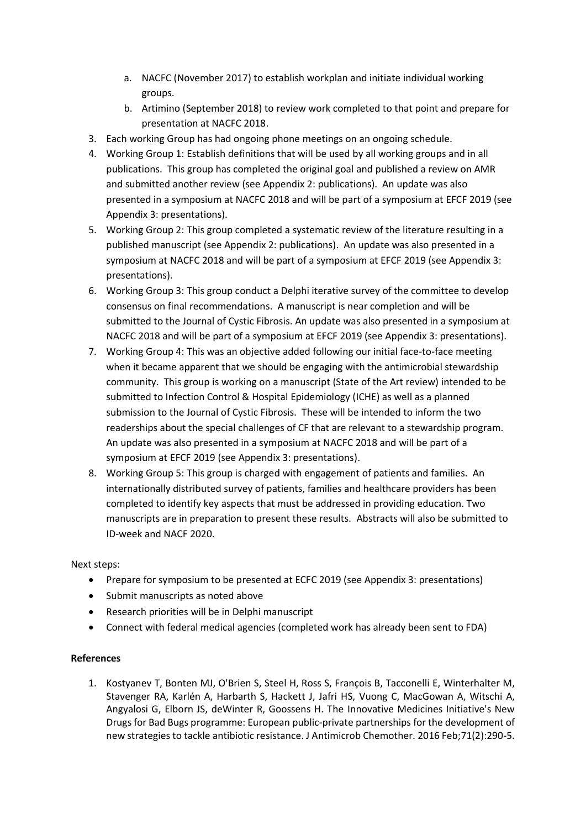- a. NACFC (November 2017) to establish workplan and initiate individual working groups.
- b. Artimino (September 2018) to review work completed to that point and prepare for presentation at NACFC 2018.
- 3. Each working Group has had ongoing phone meetings on an ongoing schedule.
- 4. Working Group 1: Establish definitions that will be used by all working groups and in all publications. This group has completed the original goal and published a review on AMR and submitted another review (see Appendix 2: publications). An update was also presented in a symposium at NACFC 2018 and will be part of a symposium at EFCF 2019 (see Appendix 3: presentations).
- 5. Working Group 2: This group completed a systematic review of the literature resulting in a published manuscript (see Appendix 2: publications). An update was also presented in a symposium at NACFC 2018 and will be part of a symposium at EFCF 2019 (see Appendix 3: presentations).
- 6. Working Group 3: This group conduct a Delphi iterative survey of the committee to develop consensus on final recommendations. A manuscript is near completion and will be submitted to the Journal of Cystic Fibrosis. An update was also presented in a symposium at NACFC 2018 and will be part of a symposium at EFCF 2019 (see Appendix 3: presentations).
- 7. Working Group 4: This was an objective added following our initial face-to-face meeting when it became apparent that we should be engaging with the antimicrobial stewardship community. This group is working on a manuscript (State of the Art review) intended to be submitted to Infection Control & Hospital Epidemiology (ICHE) as well as a planned submission to the Journal of Cystic Fibrosis. These will be intended to inform the two readerships about the special challenges of CF that are relevant to a stewardship program. An update was also presented in a symposium at NACFC 2018 and will be part of a symposium at EFCF 2019 (see Appendix 3: presentations).
- 8. Working Group 5: This group is charged with engagement of patients and families. An internationally distributed survey of patients, families and healthcare providers has been completed to identify key aspects that must be addressed in providing education. Two manuscripts are in preparation to present these results. Abstracts will also be submitted to ID-week and NACF 2020.

## Next steps:

- Prepare for symposium to be presented at ECFC 2019 (see Appendix 3: presentations)
- Submit manuscripts as noted above
- Research priorities will be in Delphi manuscript
- Connect with federal medical agencies (completed work has already been sent to FDA)

### **References**

1. Kostyanev T, Bonten MJ, O'Brien S, Steel H, Ross S, François B, Tacconelli E, Winterhalter M, Stavenger RA, Karlén A, Harbarth S, Hackett J, Jafri HS, Vuong C, MacGowan A, Witschi A, Angyalosi G, Elborn JS, deWinter R, Goossens H. The Innovative Medicines Initiative's New Drugs for Bad Bugs programme: European public-private partnerships for the development of new strategies to tackle antibiotic resistance. J Antimicrob Chemother. 2016 Feb;71(2):290-5.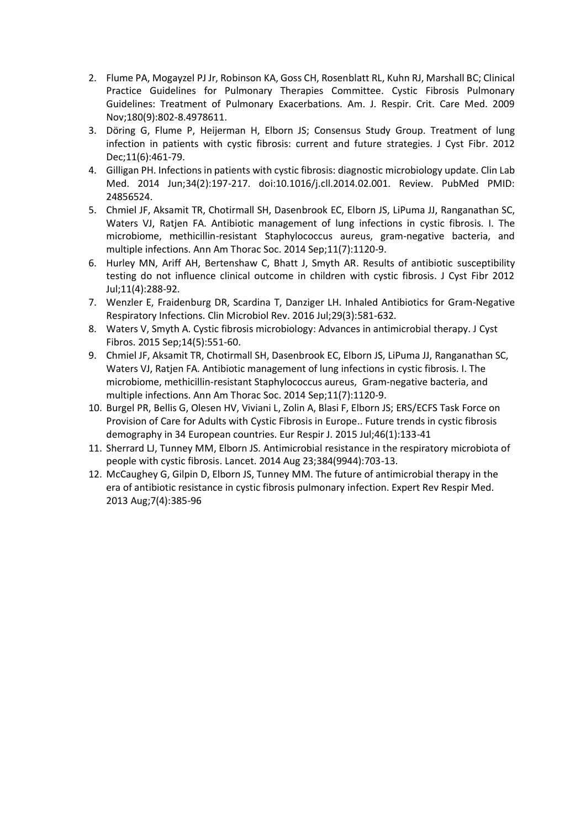- 2. Flume PA, Mogayzel PJ Jr, Robinson KA, Goss CH, Rosenblatt RL, Kuhn RJ, Marshall BC; Clinical Practice Guidelines for Pulmonary Therapies Committee. Cystic Fibrosis Pulmonary Guidelines: Treatment of Pulmonary Exacerbations. Am. J. Respir. Crit. Care Med. 2009 Nov;180(9):802-8.4978611.
- 3. Döring G, Flume P, Heijerman H, Elborn JS; Consensus Study Group. Treatment of lung infection in patients with cystic fibrosis: current and future strategies. J Cyst Fibr. 2012 Dec;11(6):461-79.
- 4. Gilligan PH. Infections in patients with cystic fibrosis: diagnostic microbiology update. Clin Lab Med. 2014 Jun;34(2):197-217. doi:10.1016/j.cll.2014.02.001. Review. PubMed PMID: 24856524.
- 5. Chmiel JF, Aksamit TR, Chotirmall SH, Dasenbrook EC, Elborn JS, LiPuma JJ, Ranganathan SC, Waters VJ, Ratjen FA. Antibiotic management of lung infections in cystic fibrosis. I. The microbiome, methicillin-resistant Staphylococcus aureus, gram-negative bacteria, and multiple infections. Ann Am Thorac Soc. 2014 Sep;11(7):1120-9.
- 6. Hurley MN, Ariff AH, Bertenshaw C, Bhatt J, Smyth AR. Results of antibiotic susceptibility testing do not influence clinical outcome in children with cystic fibrosis. J Cyst Fibr 2012 Jul;11(4):288-92.
- 7. Wenzler E, Fraidenburg DR, Scardina T, Danziger LH. Inhaled Antibiotics for Gram-Negative Respiratory Infections. Clin Microbiol Rev. 2016 Jul;29(3):581-632.
- 8. Waters V, Smyth A. Cystic fibrosis microbiology: Advances in antimicrobial therapy. J Cyst Fibros. 2015 Sep;14(5):551-60.
- 9. Chmiel JF, Aksamit TR, Chotirmall SH, Dasenbrook EC, Elborn JS, LiPuma JJ, Ranganathan SC, Waters VJ, Ratjen FA. Antibiotic management of lung infections in cystic fibrosis. I. The microbiome, methicillin-resistant Staphylococcus aureus, Gram-negative bacteria, and multiple infections. Ann Am Thorac Soc. 2014 Sep;11(7):1120-9.
- 10. Burgel PR, Bellis G, Olesen HV, Viviani L, Zolin A, Blasi F, Elborn JS; ERS/ECFS Task Force on Provision of Care for Adults with Cystic Fibrosis in Europe.. Future trends in cystic fibrosis demography in 34 European countries. Eur Respir J. 2015 Jul;46(1):133-41
- 11. Sherrard LJ, Tunney MM, Elborn JS. Antimicrobial resistance in the respiratory microbiota of people with cystic fibrosis. Lancet. 2014 Aug 23;384(9944):703-13.
- 12. McCaughey G, Gilpin D, Elborn JS, Tunney MM. The future of antimicrobial therapy in the era of antibiotic resistance in cystic fibrosis pulmonary infection. Expert Rev Respir Med. 2013 Aug;7(4):385-96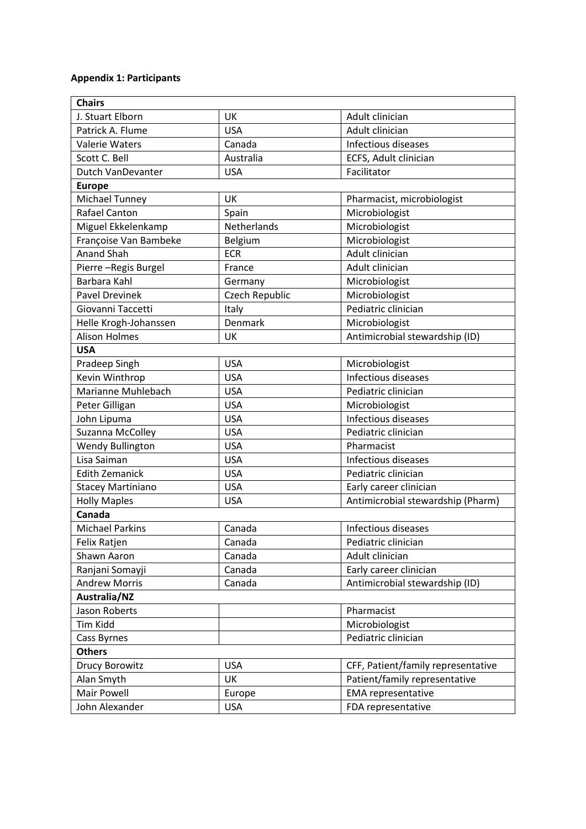# **Appendix 1: Participants**

| <b>Chairs</b>            |                |                                    |
|--------------------------|----------------|------------------------------------|
| J. Stuart Elborn         | UK             | Adult clinician                    |
| Patrick A. Flume         | <b>USA</b>     | Adult clinician                    |
| <b>Valerie Waters</b>    | Canada         | Infectious diseases                |
| Scott C. Bell            | Australia      | ECFS, Adult clinician              |
| Dutch VanDevanter        | <b>USA</b>     | Facilitator                        |
| <b>Europe</b>            |                |                                    |
| <b>Michael Tunney</b>    | UK             | Pharmacist, microbiologist         |
| <b>Rafael Canton</b>     | Spain          | Microbiologist                     |
| Miguel Ekkelenkamp       | Netherlands    | Microbiologist                     |
| Françoise Van Bambeke    | Belgium        | Microbiologist                     |
| <b>Anand Shah</b>        | <b>ECR</b>     | Adult clinician                    |
| Pierre-Regis Burgel      | France         | Adult clinician                    |
| Barbara Kahl             | Germany        | Microbiologist                     |
| <b>Pavel Drevinek</b>    | Czech Republic | Microbiologist                     |
| Giovanni Taccetti        | Italy          | Pediatric clinician                |
| Helle Krogh-Johanssen    | Denmark        | Microbiologist                     |
| <b>Alison Holmes</b>     | UK             | Antimicrobial stewardship (ID)     |
| <b>USA</b>               |                |                                    |
| Pradeep Singh            | <b>USA</b>     | Microbiologist                     |
| Kevin Winthrop           | <b>USA</b>     | Infectious diseases                |
| Marianne Muhlebach       | <b>USA</b>     | Pediatric clinician                |
| Peter Gilligan           | <b>USA</b>     | Microbiologist                     |
| John Lipuma              | <b>USA</b>     | Infectious diseases                |
| Suzanna McColley         | <b>USA</b>     | Pediatric clinician                |
| <b>Wendy Bullington</b>  | <b>USA</b>     | Pharmacist                         |
| Lisa Saiman              | <b>USA</b>     | Infectious diseases                |
| <b>Edith Zemanick</b>    | <b>USA</b>     | Pediatric clinician                |
| <b>Stacey Martiniano</b> | <b>USA</b>     | Early career clinician             |
| <b>Holly Maples</b>      | <b>USA</b>     | Antimicrobial stewardship (Pharm)  |
| Canada                   |                |                                    |
| <b>Michael Parkins</b>   | Canada         | Infectious diseases                |
| Felix Ratjen             | Canada         | Pediatric clinician                |
| Shawn Aaron              | Canada         | Adult clinician                    |
| Ranjani Somayji          | Canada         | Early career clinician             |
| <b>Andrew Morris</b>     | Canada         | Antimicrobial stewardship (ID)     |
| Australia/NZ             |                |                                    |
| Jason Roberts            |                | Pharmacist                         |
| <b>Tim Kidd</b>          |                | Microbiologist                     |
| Cass Byrnes              |                | Pediatric clinician                |
| <b>Others</b>            |                |                                    |
| <b>Drucy Borowitz</b>    | <b>USA</b>     | CFF, Patient/family representative |
| Alan Smyth               | UK             | Patient/family representative      |
| Mair Powell              | Europe         | <b>EMA</b> representative          |
| John Alexander           | <b>USA</b>     | FDA representative                 |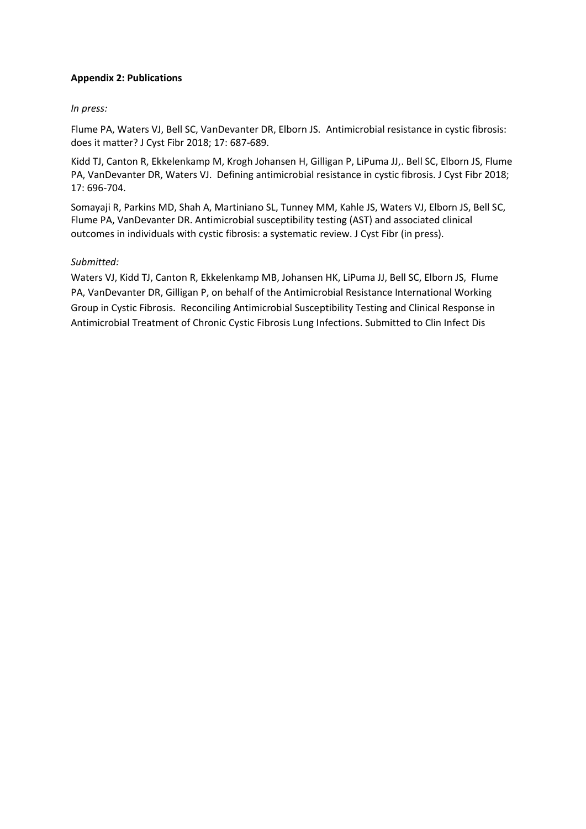## **Appendix 2: Publications**

## *In press:*

Flume PA, Waters VJ, Bell SC, VanDevanter DR, Elborn JS. Antimicrobial resistance in cystic fibrosis: does it matter? J Cyst Fibr 2018; 17: 687-689.

Kidd TJ, Canton R, Ekkelenkamp M, Krogh Johansen H, Gilligan P, LiPuma JJ,. Bell SC, Elborn JS, Flume PA, VanDevanter DR, Waters VJ. Defining antimicrobial resistance in cystic fibrosis. J Cyst Fibr 2018; 17: 696-704.

Somayaji R, Parkins MD, Shah A, Martiniano SL, Tunney MM, Kahle JS, Waters VJ, Elborn JS, Bell SC, Flume PA, VanDevanter DR. Antimicrobial susceptibility testing (AST) and associated clinical outcomes in individuals with cystic fibrosis: a systematic review. J Cyst Fibr (in press).

## *Submitted:*

Waters VJ, Kidd TJ, Canton R, Ekkelenkamp MB, Johansen HK, LiPuma JJ, Bell SC, Elborn JS, Flume PA, VanDevanter DR, Gilligan P, on behalf of the Antimicrobial Resistance International Working Group in Cystic Fibrosis. Reconciling Antimicrobial Susceptibility Testing and Clinical Response in Antimicrobial Treatment of Chronic Cystic Fibrosis Lung Infections. Submitted to Clin Infect Dis